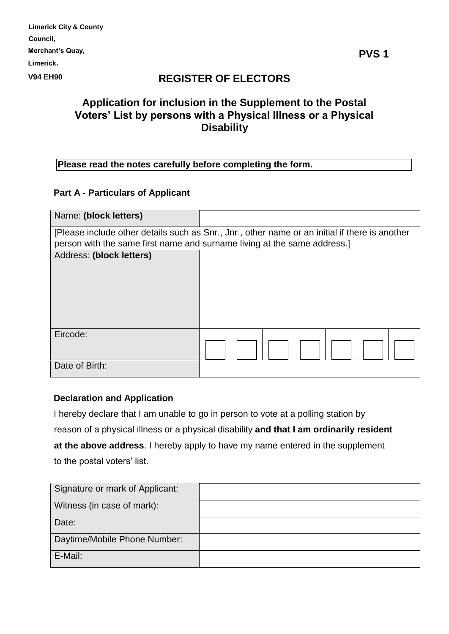| <b>Limerick City &amp; County</b> |
|-----------------------------------|
| Council,                          |
| Merchant's Quay,                  |
| Limerick.                         |
| <b>V94 EH90</b>                   |

# **REGISTER OF ELECTORS**

# **Application for inclusion in the Supplement to the Postal Voters' List by persons with a Physical Illness or a Physical Disability**

## **Please read the notes carefully before completing the form.**

### **Part A - Particulars of Applicant**

| Name: (block letters)                                                                                                                                                      |  |  |  |  |  |  |  |  |
|----------------------------------------------------------------------------------------------------------------------------------------------------------------------------|--|--|--|--|--|--|--|--|
| [Please include other details such as Snr., Jnr., other name or an initial if there is another<br>person with the same first name and surname living at the same address.] |  |  |  |  |  |  |  |  |
| Address: (block letters)                                                                                                                                                   |  |  |  |  |  |  |  |  |
| Eircode:                                                                                                                                                                   |  |  |  |  |  |  |  |  |
|                                                                                                                                                                            |  |  |  |  |  |  |  |  |
| Date of Birth:                                                                                                                                                             |  |  |  |  |  |  |  |  |

## **Declaration and Application**

I hereby declare that I am unable to go in person to vote at a polling station by reason of a physical illness or a physical disability **and that I am ordinarily resident at the above address**. I hereby apply to have my name entered in the supplement to the postal voters' list.

| Signature or mark of Applicant: |  |
|---------------------------------|--|
| Witness (in case of mark):      |  |
| Date:                           |  |
| Daytime/Mobile Phone Number:    |  |
| E-Mail:                         |  |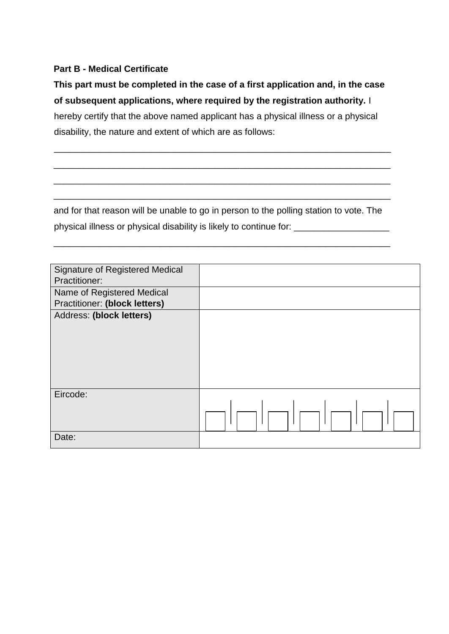## **Part B - Medical Certificate**

**This part must be completed in the case of a first application and, in the case of subsequent applications, where required by the registration authority.** I hereby certify that the above named applicant has a physical illness or a physical disability, the nature and extent of which are as follows:

\_\_\_\_\_\_\_\_\_\_\_\_\_\_\_\_\_\_\_\_\_\_\_\_\_\_\_\_\_\_\_\_\_\_\_\_\_\_\_\_\_\_\_\_\_\_\_\_\_\_\_\_\_\_\_\_\_\_\_\_\_\_\_\_\_\_\_

\_\_\_\_\_\_\_\_\_\_\_\_\_\_\_\_\_\_\_\_\_\_\_\_\_\_\_\_\_\_\_\_\_\_\_\_\_\_\_\_\_\_\_\_\_\_\_\_\_\_\_\_\_\_\_\_\_\_\_\_\_\_\_\_\_\_\_

\_\_\_\_\_\_\_\_\_\_\_\_\_\_\_\_\_\_\_\_\_\_\_\_\_\_\_\_\_\_\_\_\_\_\_\_\_\_\_\_\_\_\_\_\_\_\_\_\_\_\_\_\_\_\_\_\_\_\_\_\_\_\_\_\_\_\_

\_\_\_\_\_\_\_\_\_\_\_\_\_\_\_\_\_\_\_\_\_\_\_\_\_\_\_\_\_\_\_\_\_\_\_\_\_\_\_\_\_\_\_\_\_\_\_\_\_\_\_\_\_\_\_\_\_\_\_\_\_\_\_\_\_\_\_

and for that reason will be unable to go in person to the polling station to vote. The physical illness or physical disability is likely to continue for: \_\_\_\_\_\_\_\_\_\_\_\_\_

\_\_\_\_\_\_\_\_\_\_\_\_\_\_\_\_\_\_\_\_\_\_\_\_\_\_\_\_\_\_\_\_\_\_\_\_\_\_\_\_\_\_\_\_\_\_\_\_\_\_\_\_\_\_\_\_\_\_\_\_\_\_\_\_\_\_\_

| <b>Signature of Registered Medical</b> |  |  |  |  |
|----------------------------------------|--|--|--|--|
| Practitioner:                          |  |  |  |  |
| Name of Registered Medical             |  |  |  |  |
| <b>Practitioner: (block letters)</b>   |  |  |  |  |
| Address: (block letters)               |  |  |  |  |
| Eircode:                               |  |  |  |  |
|                                        |  |  |  |  |
|                                        |  |  |  |  |
| Date:                                  |  |  |  |  |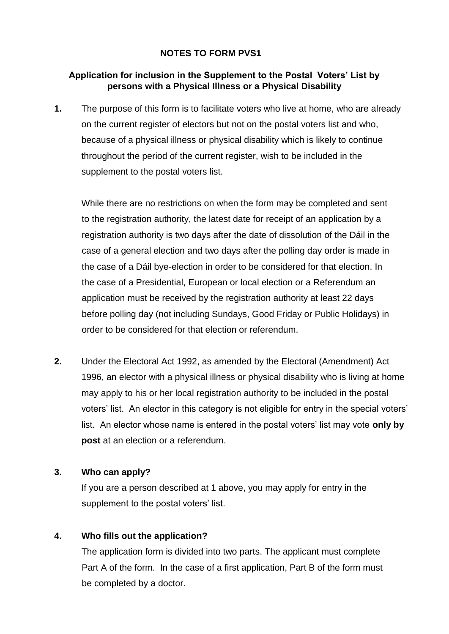### **NOTES TO FORM PVS1**

### **Application for inclusion in the Supplement to the Postal Voters' List by persons with a Physical Illness or a Physical Disability**

**1.** The purpose of this form is to facilitate voters who live at home, who are already on the current register of electors but not on the postal voters list and who, because of a physical illness or physical disability which is likely to continue throughout the period of the current register, wish to be included in the supplement to the postal voters list.

While there are no restrictions on when the form may be completed and sent to the registration authority, the latest date for receipt of an application by a registration authority is two days after the date of dissolution of the Dáil in the case of a general election and two days after the polling day order is made in the case of a Dáil bye-election in order to be considered for that election. In the case of a Presidential, European or local election or a Referendum an application must be received by the registration authority at least 22 days before polling day (not including Sundays, Good Friday or Public Holidays) in order to be considered for that election or referendum.

**2.** Under the Electoral Act 1992, as amended by the Electoral (Amendment) Act 1996, an elector with a physical illness or physical disability who is living at home may apply to his or her local registration authority to be included in the postal voters' list. An elector in this category is not eligible for entry in the special voters' list. An elector whose name is entered in the postal voters' list may vote **only by post** at an election or a referendum.

#### **3. Who can apply?**

If you are a person described at 1 above, you may apply for entry in the supplement to the postal voters' list.

## **4. Who fills out the application?**

The application form is divided into two parts. The applicant must complete Part A of the form. In the case of a first application, Part B of the form must be completed by a doctor.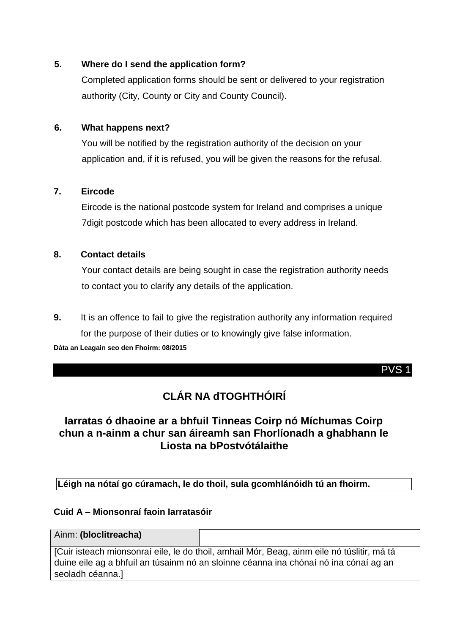## **5. Where do I send the application form?**

Completed application forms should be sent or delivered to your registration authority (City, County or City and County Council).

## **6. What happens next?**

You will be notified by the registration authority of the decision on your application and, if it is refused, you will be given the reasons for the refusal.

## **7. Eircode**

Eircode is the national postcode system for Ireland and comprises a unique 7digit postcode which has been allocated to every address in Ireland.

## **8. Contact details**

Your contact details are being sought in case the registration authority needs to contact you to clarify any details of the application.

**9.** It is an offence to fail to give the registration authority any information required for the purpose of their duties or to knowingly give false information.

**Dáta an Leagain seo den Fhoirm: 08/2015**

PVS 1

# **CLÁR NA dTOGHTHÓIRÍ**

# **Iarratas ó dhaoine ar a bhfuil Tinneas Coirp nó Míchumas Coirp chun a n-ainm a chur san áireamh san Fhorlíonadh a ghabhann le Liosta na bPostvótálaithe**

**Léigh na nótaí go cúramach, le do thoil, sula gcomhlánóidh tú an fhoirm.** 

## **Cuid A – Mionsonraí faoin Iarratasóir**

|  | Ainm: (bloclitreacha) |  |
|--|-----------------------|--|
|--|-----------------------|--|

[Cuir isteach mionsonraí eile, le do thoil, amhail Mór, Beag, ainm eile nó túslitir, má tá duine eile ag a bhfuil an túsainm nó an sloinne céanna ina chónaí nó ina cónaí ag an seoladh céanna.]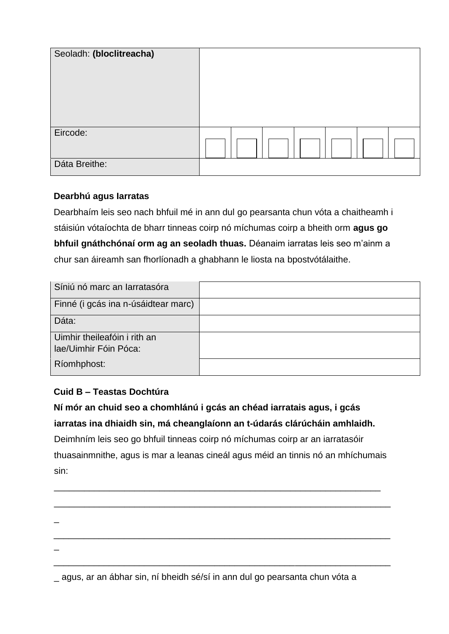| Seoladh: (bloclitreacha) |  |
|--------------------------|--|
| Eircode:                 |  |
| Dáta Breithe:            |  |

### **Dearbhú agus Iarratas**

Dearbhaím leis seo nach bhfuil mé in ann dul go pearsanta chun vóta a chaitheamh i stáisiún vótaíochta de bharr tinneas coirp nó míchumas coirp a bheith orm **agus go bhfuil gnáthchónaí orm ag an seoladh thuas.** Déanaim iarratas leis seo m'ainm a chur san áireamh san fhorlíonadh a ghabhann le liosta na bpostvótálaithe.

| Síniú nó marc an larratasóra        |  |
|-------------------------------------|--|
| Finné (i gcás ina n-úsáidtear marc) |  |
| Dáta:                               |  |
| Uimhir theileafóin i rith an        |  |
| lae/Uimhir Fóin Póca:               |  |
| Ríomhphost:                         |  |

## **Cuid B – Teastas Dochtúra**

\_

 $\overline{\phantom{a}}$ 

**Ní mór an chuid seo a chomhlánú i gcás an chéad iarratais agus, i gcás iarratas ina dhiaidh sin, má cheanglaíonn an t-údarás clárúcháin amhlaidh.**  Deimhním leis seo go bhfuil tinneas coirp nó míchumas coirp ar an iarratasóir thuasainmnithe, agus is mar a leanas cineál agus méid an tinnis nó an mhíchumais sin:

\_\_\_\_\_\_\_\_\_\_\_\_\_\_\_\_\_\_\_\_\_\_\_\_\_\_\_\_\_\_\_\_\_\_\_\_\_\_\_\_\_\_\_\_\_\_\_\_\_\_\_\_\_\_\_\_\_\_\_\_\_\_\_\_\_

\_\_\_\_\_\_\_\_\_\_\_\_\_\_\_\_\_\_\_\_\_\_\_\_\_\_\_\_\_\_\_\_\_\_\_\_\_\_\_\_\_\_\_\_\_\_\_\_\_\_\_\_\_\_\_\_\_\_\_\_\_\_\_\_\_\_\_

\_\_\_\_\_\_\_\_\_\_\_\_\_\_\_\_\_\_\_\_\_\_\_\_\_\_\_\_\_\_\_\_\_\_\_\_\_\_\_\_\_\_\_\_\_\_\_\_\_\_\_\_\_\_\_\_\_\_\_\_\_\_\_\_\_\_\_

\_\_\_\_\_\_\_\_\_\_\_\_\_\_\_\_\_\_\_\_\_\_\_\_\_\_\_\_\_\_\_\_\_\_\_\_\_\_\_\_\_\_\_\_\_\_\_\_\_\_\_\_\_\_\_\_\_\_\_\_\_\_\_\_\_\_\_

\_ agus, ar an ábhar sin, ní bheidh sé/sí in ann dul go pearsanta chun vóta a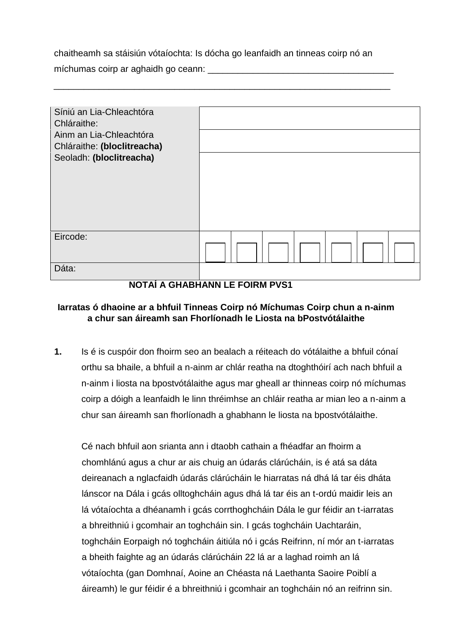chaitheamh sa stáisiún vótaíochta: Is dócha go leanfaidh an tinneas coirp nó an

\_\_\_\_\_\_\_\_\_\_\_\_\_\_\_\_\_\_\_\_\_\_\_\_\_\_\_\_\_\_\_\_\_\_\_\_\_\_\_\_\_\_\_\_\_\_\_\_\_\_\_\_\_\_\_\_\_\_\_\_\_\_\_\_\_\_\_

míchumas coirp ar aghaidh go ceann: \_\_\_\_\_\_\_\_\_\_\_\_\_\_\_\_\_\_\_\_\_\_\_\_\_\_\_\_\_\_\_\_\_\_\_\_\_

| Síniú an Lia-Chleachtóra    |  |  |  |  |  |  |
|-----------------------------|--|--|--|--|--|--|
| Chláraithe:                 |  |  |  |  |  |  |
| Ainm an Lia-Chleachtóra     |  |  |  |  |  |  |
| Chláraithe: (bloclitreacha) |  |  |  |  |  |  |
| Seoladh: (bloclitreacha)    |  |  |  |  |  |  |
| Eircode:                    |  |  |  |  |  |  |
|                             |  |  |  |  |  |  |
| Dáta:                       |  |  |  |  |  |  |

## **NOTAÍ A GHABHANN LE FOIRM PVS1**

## **Iarratas ó dhaoine ar a bhfuil Tinneas Coirp nó Míchumas Coirp chun a n-ainm a chur san áireamh san Fhorlíonadh le Liosta na bPostvótálaithe**

**1.** Is é is cuspóir don fhoirm seo an bealach a réiteach do vótálaithe a bhfuil cónaí orthu sa bhaile, a bhfuil a n-ainm ar chlár reatha na dtoghthóirí ach nach bhfuil a n-ainm i liosta na bpostvótálaithe agus mar gheall ar thinneas coirp nó míchumas coirp a dóigh a leanfaidh le linn thréimhse an chláir reatha ar mian leo a n-ainm a chur san áireamh san fhorlíonadh a ghabhann le liosta na bpostvótálaithe.

Cé nach bhfuil aon srianta ann i dtaobh cathain a fhéadfar an fhoirm a chomhlánú agus a chur ar ais chuig an údarás clárúcháin, is é atá sa dáta deireanach a nglacfaidh údarás clárúcháin le hiarratas ná dhá lá tar éis dháta lánscor na Dála i gcás olltoghcháin agus dhá lá tar éis an t-ordú maidir leis an lá vótaíochta a dhéanamh i gcás corrthoghcháin Dála le gur féidir an t-iarratas a bhreithniú i gcomhair an toghcháin sin. I gcás toghcháin Uachtaráin, toghcháin Eorpaigh nó toghcháin áitiúla nó i gcás Reifrinn, ní mór an t-iarratas a bheith faighte ag an údarás clárúcháin 22 lá ar a laghad roimh an lá vótaíochta (gan Domhnaí, Aoine an Chéasta ná Laethanta Saoire Poiblí a áireamh) le gur féidir é a bhreithniú i gcomhair an toghcháin nó an reifrinn sin.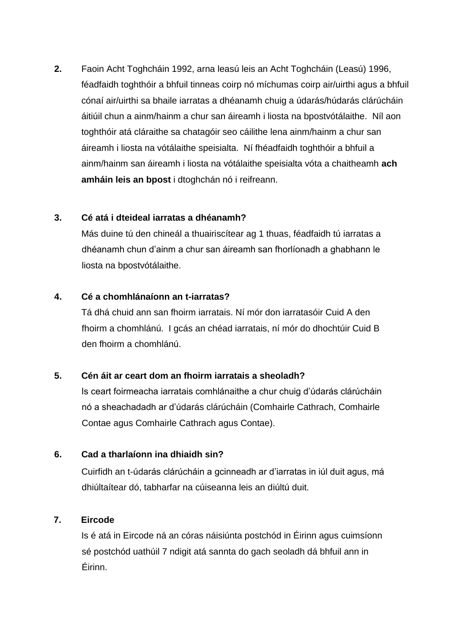**2.** Faoin Acht Toghcháin 1992, arna leasú leis an Acht Toghcháin (Leasú) 1996, féadfaidh toghthóir a bhfuil tinneas coirp nó míchumas coirp air/uirthi agus a bhfuil cónaí air/uirthi sa bhaile iarratas a dhéanamh chuig a údarás/húdarás clárúcháin áitiúil chun a ainm/hainm a chur san áireamh i liosta na bpostvótálaithe. Níl aon toghthóir atá cláraithe sa chatagóir seo cáilithe lena ainm/hainm a chur san áireamh i liosta na vótálaithe speisialta. Ní fhéadfaidh toghthóir a bhfuil a ainm/hainm san áireamh i liosta na vótálaithe speisialta vóta a chaitheamh **ach amháin leis an bpost** i dtoghchán nó i reifreann.

## **3. Cé atá i dteideal iarratas a dhéanamh?**

Más duine tú den chineál a thuairiscítear ag 1 thuas, féadfaidh tú iarratas a dhéanamh chun d'ainm a chur san áireamh san fhorlíonadh a ghabhann le liosta na bpostvótálaithe.

## **4. Cé a chomhlánaíonn an t-iarratas?**

Tá dhá chuid ann san fhoirm iarratais. Ní mór don iarratasóir Cuid A den fhoirm a chomhlánú. I gcás an chéad iarratais, ní mór do dhochtúir Cuid B den fhoirm a chomhlánú.

## **5. Cén áit ar ceart dom an fhoirm iarratais a sheoladh?**

Is ceart foirmeacha iarratais comhlánaithe a chur chuig d'údarás clárúcháin nó a sheachadadh ar d'údarás clárúcháin (Comhairle Cathrach, Comhairle Contae agus Comhairle Cathrach agus Contae).

## **6. Cad a tharlaíonn ina dhiaidh sin?**

Cuirfidh an t-údarás clárúcháin a gcinneadh ar d'iarratas in iúl duit agus, má dhiúltaítear dó, tabharfar na cúiseanna leis an diúltú duit.

## **7. Eircode**

Is é atá in Eircode ná an córas náisiúnta postchód in Éirinn agus cuimsíonn sé postchód uathúil 7 ndigit atá sannta do gach seoladh dá bhfuil ann in Éirinn.